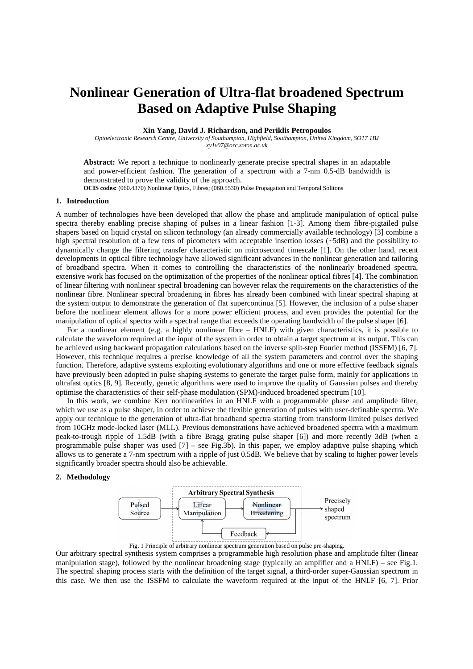# **Nonlinear Generation of Ultra-flat broadened Spectrum Based on Adaptive Pulse Shaping**

**Xin Yang, David J. Richardson, and Periklis Petropoulos** 

*Optoelectronic Research Centre, University of Southampton, Highfield, Southampton, United Kingdom, SO17 1BJ xy1v07@orc.soton.ac.uk* 

**Abstract:** We report a technique to nonlinearly generate precise spectral shapes in an adaptable and power-efficient fashion. The generation of a spectrum with a 7-nm 0.5-dB bandwidth is demonstrated to prove the validity of the approach.

**OCIS codes:** (060.4370) Nonlinear Optics, Fibres; (060.5530) Pulse Propagation and Temporal Solitons

## **1. Introduction**

A number of technologies have been developed that allow the phase and amplitude manipulation of optical pulse spectra thereby enabling precise shaping of pulses in a linear fashion [1-3]. Among them fibre-pigtailed pulse shapers based on liquid crystal on silicon technology (an already commercially available technology) [3] combine a high spectral resolution of a few tens of picometers with acceptable insertion losses (~5dB) and the possibility to dynamically change the filtering transfer characteristic on microsecond timescale [1]. On the other hand, recent developments in optical fibre technology have allowed significant advances in the nonlinear generation and tailoring of broadband spectra. When it comes to controlling the characteristics of the nonlinearly broadened spectra, extensive work has focused on the optimization of the properties of the nonlinear optical fibres [4]. The combination of linear filtering with nonlinear spectral broadening can however relax the requirements on the characteristics of the nonlinear fibre. Nonlinear spectral broadening in fibres has already been combined with linear spectral shaping at the system output to demonstrate the generation of flat supercontinua [5]. However, the inclusion of a pulse shaper before the nonlinear element allows for a more power efficient process, and even provides the potential for the manipulation of optical spectra with a spectral range that exceeds the operating bandwidth of the pulse shaper [6].

For a nonlinear element (e.g. a highly nonlinear fibre – HNLF) with given characteristics, it is possible to calculate the waveform required at the input of the system in order to obtain a target spectrum at its output. This can be achieved using backward propagation calculations based on the inverse split-step Fourier method (ISSFM) [6, 7]. However, this technique requires a precise knowledge of all the system parameters and control over the shaping function. Therefore, adaptive systems exploiting evolutionary algorithms and one or more effective feedback signals have previously been adopted in pulse shaping systems to generate the target pulse form, mainly for applications in ultrafast optics [8, 9]. Recently, genetic algorithms were used to improve the quality of Gaussian pulses and thereby optimise the characteristics of their self-phase modulation (SPM)-induced broadened spectrum [10].

In this work, we combine Kerr nonlinearities in an HNLF with a programmable phase and amplitude filter, which we use as a pulse shaper, in order to achieve the flexible generation of pulses with user-definable spectra. We apply our technique to the generation of ultra-flat broadband spectra starting from transform limited pulses derived from 10GHz mode-locked laser (MLL). Previous demonstrations have achieved broadened spectra with a maximum peak-to-trough ripple of 1.5dB (with a fibre Bragg grating pulse shaper [6]) and more recently 3dB (when a programmable pulse shaper was used [7] – see Fig.3b). In this paper, we employ adaptive pulse shaping which allows us to generate a 7-nm spectrum with a ripple of just 0.5dB. We believe that by scaling to higher power levels significantly broader spectra should also be achievable.

# **2. Methodology**



Fig. 1 Principle of arbitrary nonlinear spectrum generation based on pulse pre-shaping.

Our arbitrary spectral synthesis system comprises a programmable high resolution phase and amplitude filter (linear manipulation stage), followed by the nonlinear broadening stage (typically an amplifier and a HNLF) – see Fig.1. The spectral shaping process starts with the definition of the target signal, a third-order super-Gaussian spectrum in this case. We then use the ISSFM to calculate the waveform required at the input of the HNLF [6, 7]. Prior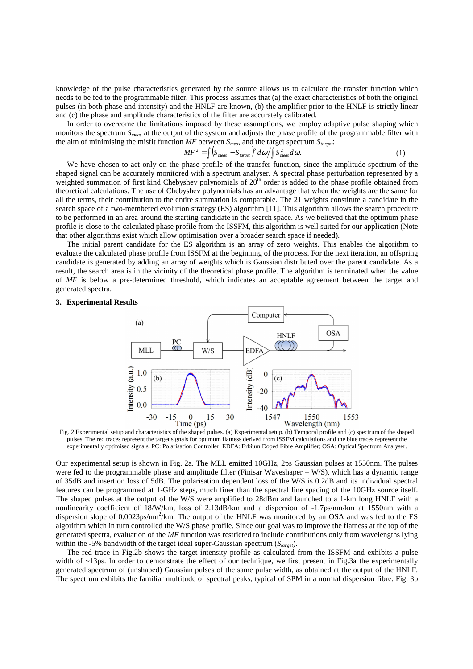knowledge of the pulse characteristics generated by the source allows us to calculate the transfer function which needs to be fed to the programmable filter. This process assumes that (a) the exact characteristics of both the original pulses (in both phase and intensity) and the HNLF are known, (b) the amplifier prior to the HNLF is strictly linear and (c) the phase and amplitude characteristics of the filter are accurately calibrated.

In order to overcome the limitations imposed by these assumptions, we employ adaptive pulse shaping which monitors the spectrum *Smeas* at the output of the system and adjusts the phase profile of the programmable filter with the aim of minimising the misfit function *MF* between *Smeas* and the target spectrum *Starget*:

$$
MF^{2} = \int \left( S_{\text{meas}} - S_{\text{target}} \right)^{2} d\omega / \int S_{\text{meas}}^{2} d\omega.
$$
 (1)

We have chosen to act only on the phase profile of the transfer function, since the amplitude spectrum of the shaped signal can be accurately monitored with a spectrum analyser. A spectral phase perturbation represented by a weighted summation of first kind Chebyshev polynomials of 20<sup>th</sup> order is added to the phase profile obtained from theoretical calculations. The use of Chebyshev polynomials has an advantage that when the weights are the same for all the terms, their contribution to the entire summation is comparable. The 21 weights constitute a candidate in the search space of a two-membered evolution strategy (ES) algorithm [11]. This algorithm allows the search procedure to be performed in an area around the starting candidate in the search space. As we believed that the optimum phase profile is close to the calculated phase profile from the ISSFM, this algorithm is well suited for our application (Note that other algorithms exist which allow optimisation over a broader search space if needed).

The initial parent candidate for the ES algorithm is an array of zero weights. This enables the algorithm to evaluate the calculated phase profile from ISSFM at the beginning of the process. For the next iteration, an offspring candidate is generated by adding an array of weights which is Gaussian distributed over the parent candidate. As a result, the search area is in the vicinity of the theoretical phase profile. The algorithm is terminated when the value of *MF* is below a pre-determined threshold, which indicates an acceptable agreement between the target and generated spectra.

## **3. Experimental Results**



Fig. 2 Experimental setup and characteristics of the shaped pulses. (a) Experimental setup. (b) Temporal profile and (c) spectrum of the shaped pulses. The red traces represent the target signals for optimum flatness derived from ISSFM calculations and the blue traces represent the experimentally optimised signals. PC: Polarisation Controller; EDFA: Erbium Doped Fibre Amplifier; OSA: Optical Spectrum Analyser.

Our experimental setup is shown in Fig. 2a. The MLL emitted 10GHz, 2ps Gaussian pulses at 1550nm. The pulses were fed to the programmable phase and amplitude filter (Finisar Waveshaper – W/S), which has a dynamic range of 35dB and insertion loss of 5dB. The polarisation dependent loss of the W/S is 0.2dB and its individual spectral features can be programmed at 1-GHz steps, much finer than the spectral line spacing of the 10GHz source itself. The shaped pulses at the output of the W/S were amplified to 28dBm and launched to a 1-km long HNLF with a nonlinearity coefficient of 18/W/km, loss of 2.13dB/km and a dispersion of -1.7ps/nm/km at 1550nm with a dispersion slope of 0.0023ps/nm<sup>2</sup>/km. The output of the HNLF was monitored by an OSA and was fed to the ES algorithm which in turn controlled the W/S phase profile. Since our goal was to improve the flatness at the top of the generated spectra, evaluation of the *MF* function was restricted to include contributions only from wavelengths lying within the -5% bandwidth of the target ideal super-Gaussian spectrum ( $S<sub>target</sub>$ ).

The red trace in Fig.2b shows the target intensity profile as calculated from the ISSFM and exhibits a pulse width of ~13ps. In order to demonstrate the effect of our technique, we first present in Fig.3a the experimentally generated spectrum of (unshaped) Gaussian pulses of the same pulse width, as obtained at the output of the HNLF. The spectrum exhibits the familiar multitude of spectral peaks, typical of SPM in a normal dispersion fibre. Fig. 3b